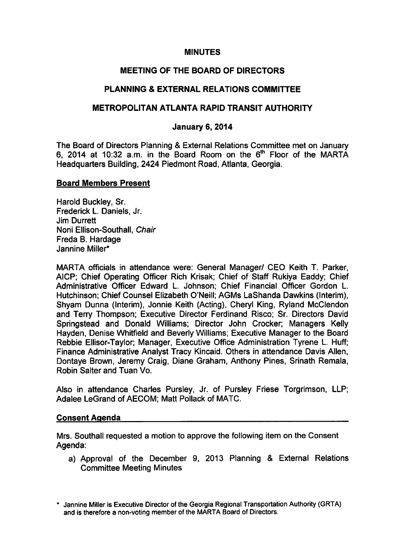# MINUTES

# MEETING OF THE BOARD OF DIRECTORS

# PLANNING & EXTERNAL RELATIONS COMMITTEE

## METROPOLITAN ATLANTA RAPID TRANSIT AUTHORITY

## January 6, 2014

The Board of Directors Planning & External Relations Committee met on January 6, 2014 at 10:32 a.m. in the Board Room on the 6<sup>th</sup> Floor of the MARTA Headquarters Building, 2424 Piedmont Road, Atlanta, Georgia.

#### Board Members Present

Harold Buckley, Sr. Frederick L. Daniels, Jr. Jim Durrett Noni Ellison-Southall, Chair Freda B. Hardage Jannine Miller\*

MARTA officials in attendance were: General Manager/ CEO Keith T. Parker, AICP; Chief Operating Officer Rich Krisak; Chief of Staff Rukiya Eaddy; Chief Administrative Officer Edward L. Johnson; Chief Financial Officer Gordon L. Hutchinson; Chief Counsel Elizabeth O'Neill; AGMs LaShanda Dawkins (Interim), Shyam Dunna (Interim), Jonnie Keith (Acting), Cheryl King, Ryland McClendon and Terry Thompson; Executive Director Ferdinand Risco; Sr. Directors David Springstead and Donald Williams; Director John Crocker; Managers Kelly Hayden, Denise Whitfield and Beverly Williams; Executive Manager to the Board Rebbie Ellisor-Taylor; Manager, Executive Office Administration Tyrene L. Huff; Finance Administrative Analyst Tracy Kincaid. Others in attendance Davis Allen, Dontaye Brown, Jeremy Craig, Diane Graham, Anthony Pines, Srinath Remala, Robin Salter and Tuan Vo.

Also in attendance Charles Pursley, Jr. of Pursley Friese Torgrimson, LLP; Adalee LeGrand of AECOM; Matt Pollack of MATC.

#### Consent Agenda

Mrs. Southall requested a motion to approve the following item on the Consent Agenda:

a) Approval of the December 9, 2013 Planning & External Relations Committee Meeting Minutes

Jannine Miller is Executive Director of the Georgia Regional Transportation Authority (GRTA) and is therefore a non-voting member of the MARTA Board of Directors.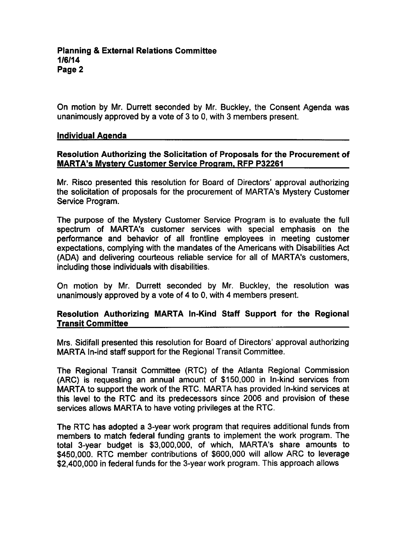On motion by Mr. Durrett seconded by Mr. Buckley, the Consent Agenda was unanimously approved by a vote of 3 to 0, with 3 members present.

#### Individual Agenda

## Resolution Authorizing the Solicitation of Proposals for the Procurement of MARTA's Mvsterv Customer Service Program. RFP P32261

Mr. Risco presented this resolution for Board of Directors' approval authorizing the solicitation of proposals for the procurement of MARTA's Mystery Customer Service Program.

The purpose of the Mystery Customer Service Program is to evaluate the full spectrum of MARTA's customer services with special emphasis on the performance and behavior of all frontline employees in meeting customer expectations, complying with the mandates of the Americans with Disabilities Act (ADA) and delivering courteous reliable service for all of MARTA's customers, including those individuals with disabilities.

On motion by Mr. Durrett seconded by Mr. Buckley, the resolution was unanimously approved by a vote of 4 to 0, with 4 members present.

# Resolution Authorizing MARTA In-Kind Staff Support for the Regional Transit Committee

Mrs. Sidifall presented this resolution for Board of Directors' approval authorizing MARTA In-ind staff support for the Regional Transit Committee.

The Regional Transit Committee (RTC) of the Atlanta Regional Commission (ARC) is requesting an annual amount of \$150,000 in In-kind services from MARTA to support the work of the RTC. MARTA has provided In-kind services at this level to the RTC and its predecessors since 2006 and provision of these services allows MARTA to have voting privileges at the RTC.

The RTC has adopted a 3-year work program that requires additional funds from members to match federal funding grants to implement the work program. The total 3-year budget is \$3,000,000, of which, MARTA's share amounts to \$450,000. RTC member contributions of \$600,000 will allow ARC to leverage \$2,400,000 in federal funds for the 3-year work program. This approach allows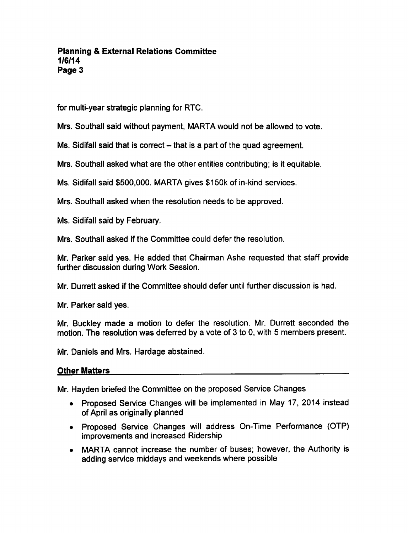# Planning External Relations Committee 1/6/14 Page 3

for multi-year strategic planning for RTC.

Mrs. Southall said without payment, MARTA would not be allowed to vote.

Ms. Sidifall said that is correct – that is a part of the quad agreement.

Mrs. Southall asked what are the other entities contributing; is it equitable.

Ms. Sidifall said \$500,000. MARTA gives \$150k of in-kind services.

Mrs. Southall asked when the resolution needs to be approved.

Ms. Sidifall said by February.

Mrs. Southall asked if the Committee could defer the resolution.

Mr. Parker said yes. He added that Chairman Ashe requested that staff provide further discussion during Work Session.

Mr. Durrett asked if the Committee should defer until further discussion is had.

Mr. Parker said yes.

Mr. Buckley made a motion to defer the resolution. Mr. Durrett seconded the motion. The resolution was deferred by a vote of  $3$  to  $0$ , with  $5$  members present.

Mr. Daniels and Mrs. Hardage abstained.

# Other Matters

Mr. Hayden briefed the Committee on the proposed Service Changes

- Proposed Service Changes will be implemented in May 17, 2014 instead of April as originally planned
- Proposed Service Changes will address On-Time Performance (OTP) improvements and increased Ridership
- MARTA cannot increase the number of buses; however, the Authority is adding service middays and weekends where possible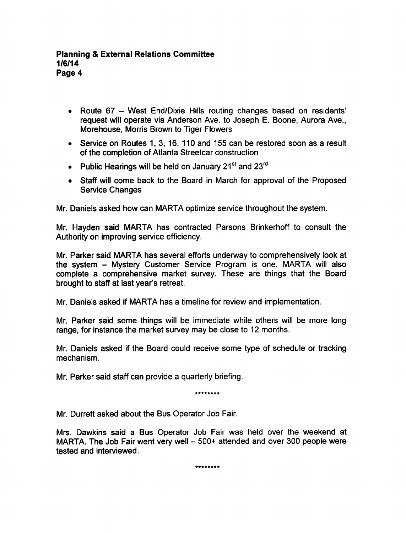- Route 67 West End/Dixie Hills routing changes based on residents' request will operate via Anderson Ave. to Joseph E. Boone, Aurora Ave., Morehouse, Morris Brown to Tiger Flowers
- Service on Routes 1, 3, 16, 110 and 155 can be restored soon as a result of the completion of Atlanta Streetcar construction
- Public Hearings will be held on January 21<sup>st</sup> and 23<sup>rd</sup>
- Staff will come back to the Board in March for approval of the Proposed Service Changes

Mr. Daniels asked how can MARTA optimize service throughout the system.

Mr. Hayden said MARTA has contracted Parsons Brinkerhoff to consult the Authority on improving service efficiency.

Mr. Parker said MARTA has several efforts underway to comprehensively look at the system - Mystery Customer Service Program is one. MARTA will also complete a comprehensive market survey. These are things that the Board brought to staff at last year's retreat.

Mr. Daniels asked if MARTA has a timeline for review and implementation.

Mr. Parker said some things will be immediate while others will be more long range, for instance the market survey may be close to 12 months.

Mr. Daniels asked if the Board could receive some type of schedule or tracking mechanism.

Mr. Parker said staff can provide a quarterly briefing.

\*\*\*\*\*\*\*\*

Mr. Durrett asked about the Bus Operator Job Fair.

Mrs. Dawkins said a Bus Operator Job Fair was held over the weekend at MARTA. The Job Fair went very well  $-500+$  attended and over 300 people were tested and interviewed.

\*\*\*\*\*\*\*\*